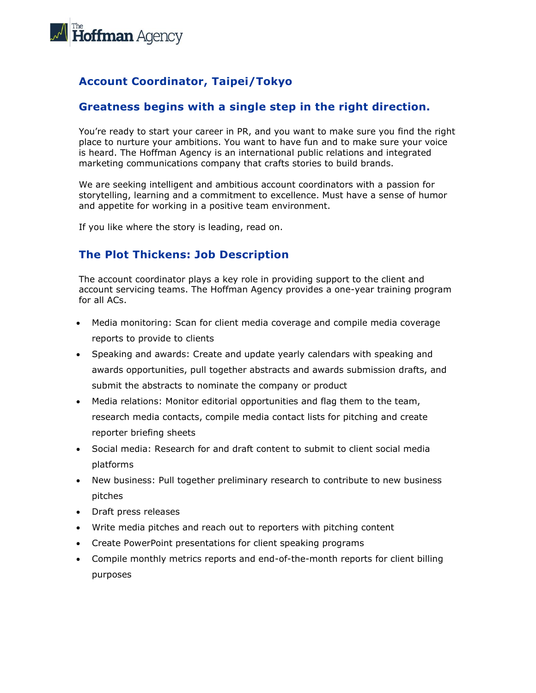

# **Account Coordinator, Taipei/Tokyo**

#### **Greatness begins with a single step in the right direction.**

You're ready to start your career in PR, and you want to make sure you find the right place to nurture your ambitions. You want to have fun and to make sure your voice is heard. The Hoffman Agency is an international public relations and integrated marketing communications company that crafts stories to build brands.

We are seeking intelligent and ambitious account coordinators with a passion for storytelling, learning and a commitment to excellence. Must have a sense of humor and appetite for working in a positive team environment.

If you like where the story is leading, read on.

### **The Plot Thickens: Job Description**

The account coordinator plays a key role in providing support to the client and account servicing teams. The Hoffman Agency provides a one-year training program for all ACs.

- Media monitoring: Scan for client media coverage and compile media coverage reports to provide to clients
- Speaking and awards: Create and update yearly calendars with speaking and awards opportunities, pull together abstracts and awards submission drafts, and submit the abstracts to nominate the company or product
- Media relations: Monitor editorial opportunities and flag them to the team, research media contacts, compile media contact lists for pitching and create reporter briefing sheets
- Social media: Research for and draft content to submit to client social media platforms
- New business: Pull together preliminary research to contribute to new business pitches
- Draft press releases
- Write media pitches and reach out to reporters with pitching content
- Create PowerPoint presentations for client speaking programs
- Compile monthly metrics reports and end-of-the-month reports for client billing purposes